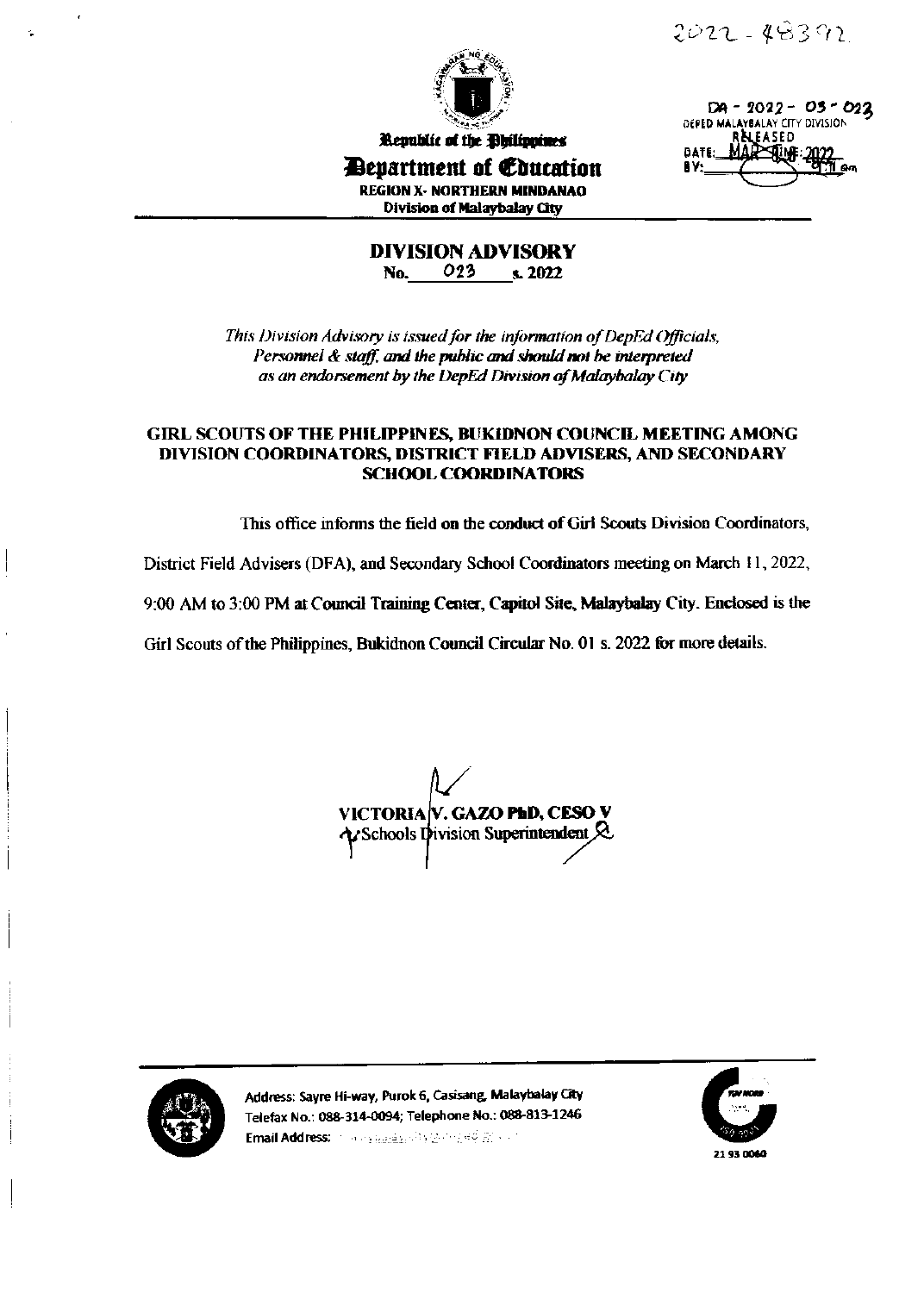$2022 - 48392$ 



Republic of the Dhilippines

 $DA - 2022 - 05 - 022$ DEPED MALAYBALAY CITY DIVISION EASED **BATE** Ñ₩ RΥ:

**Department of Education REGION X- NORTHERN MINDANAO** Division of Malaybalay City

**DIVISION ADVISORY** No. 023 s. 2022

This Division Advisory is issued for the information of DepEd Officials. Personnel & staff, and the public and should not be interpreted as an endorsement by the DepEd Division of Malaybalay City

# **GIRL SCOUTS OF THE PHILIPPINES, BUKIDNON COUNCIL MEETING AMONG** DIVISION COORDINATORS, DISTRICT FIELD ADVISERS, AND SECONDARY **SCHOOL COORDINATORS**

This office informs the field on the conduct of Girl Scouts Division Coordinators,

District Field Advisers (DFA), and Secondary School Coordinators meeting on March 11, 2022,

9:00 AM to 3:00 PM at Council Training Center, Capitol Site, Malaybalay City. Enclosed is the

Girl Scouts of the Philippines, Bukidnon Council Circular No. 01 s. 2022 for more details.

**VICTORIA V. GAZO PhD, CESO V** Schools Division Superintendent  $\&$ 



Address: Sayre Hi-way, Purok 6, Casisang, Malaybalay City Telefax No.: 088-314-0094; Telephone No.: 088-813-1246 Email Address: The explanation of the editoric of